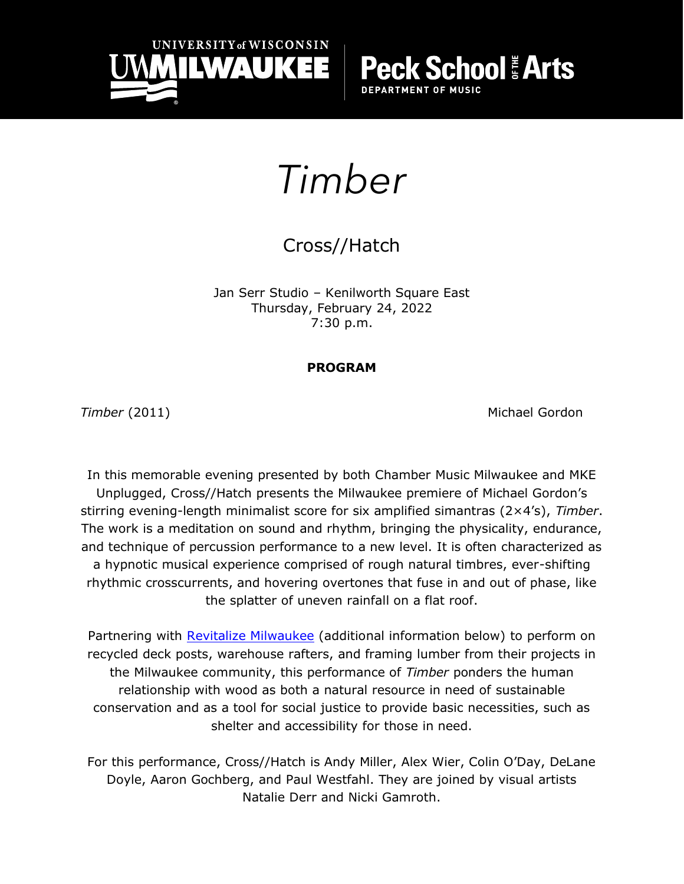

**School & Arts DEPARTMENT OF MUSIC** 

# *Timber*

## Cross//Hatch

Jan Serr Studio – Kenilworth Square East Thursday, February 24, 2022 7:30 p.m.

### **PROGRAM**

**Timber** (2011) **Michael Gordon** 

In this memorable evening presented by both Chamber Music Milwaukee and MKE Unplugged, Cross//Hatch presents the Milwaukee premiere of Michael Gordon's stirring evening-length minimalist score for six amplified simantras (2×4's), *Timber*. The work is a meditation on sound and rhythm, bringing the physicality, endurance, and technique of percussion performance to a new level. It is often characterized as a hypnotic musical experience comprised of rough natural timbres, ever-shifting rhythmic crosscurrents, and hovering overtones that fuse in and out of phase, like the splatter of uneven rainfall on a flat roof.

Partnering with [Revitalize Milwaukee](https://www.freehomerepairs.org/) (additional information below) to perform on recycled deck posts, warehouse rafters, and framing lumber from their projects in the Milwaukee community, this performance of *Timber* ponders the human relationship with wood as both a natural resource in need of sustainable conservation and as a tool for social justice to provide basic necessities, such as shelter and accessibility for those in need.

For this performance, Cross//Hatch is Andy Miller, Alex Wier, Colin O'Day, DeLane Doyle, Aaron Gochberg, and Paul Westfahl. They are joined by visual artists Natalie Derr and Nicki Gamroth.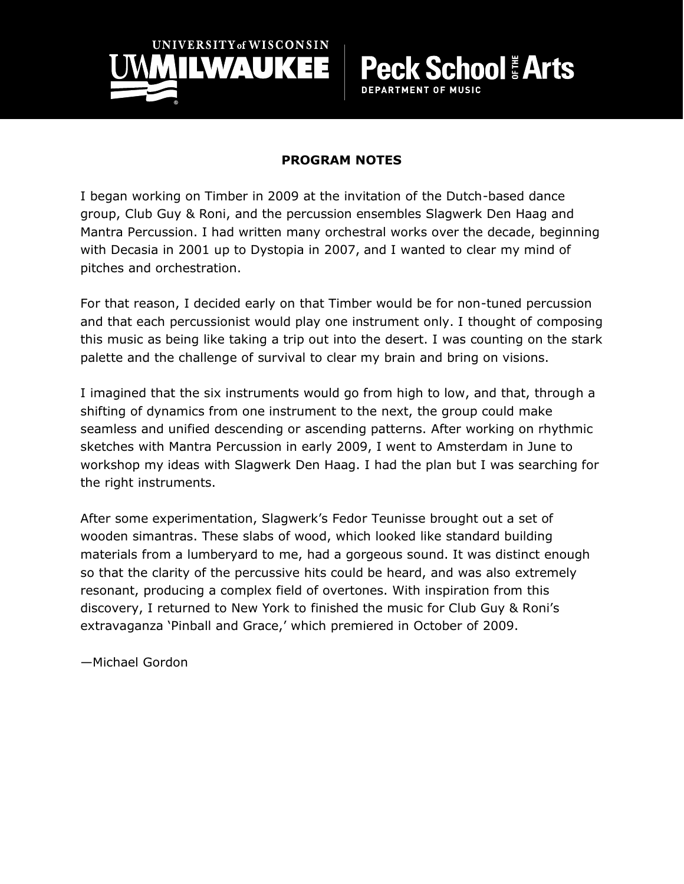

#### **PROGRAM NOTES**

**School Arts** 

**DEPARTMENT OF MUSIC** 

I began working on Timber in 2009 at the invitation of the Dutch-based dance group, Club Guy & Roni, and the percussion ensembles Slagwerk Den Haag and Mantra Percussion. I had written many orchestral works over the decade, beginning with Decasia in 2001 up to Dystopia in 2007, and I wanted to clear my mind of pitches and orchestration.

For that reason, I decided early on that Timber would be for non-tuned percussion and that each percussionist would play one instrument only. I thought of composing this music as being like taking a trip out into the desert. I was counting on the stark palette and the challenge of survival to clear my brain and bring on visions.

I imagined that the six instruments would go from high to low, and that, through a shifting of dynamics from one instrument to the next, the group could make seamless and unified descending or ascending patterns. After working on rhythmic sketches with Mantra Percussion in early 2009, I went to Amsterdam in June to workshop my ideas with Slagwerk Den Haag. I had the plan but I was searching for the right instruments.

After some experimentation, Slagwerk's Fedor Teunisse brought out a set of wooden simantras. These slabs of wood, which looked like standard building materials from a lumberyard to me, had a gorgeous sound. It was distinct enough so that the clarity of the percussive hits could be heard, and was also extremely resonant, producing a complex field of overtones. With inspiration from this discovery, I returned to New York to finished the music for Club Guy & Roni's extravaganza 'Pinball and Grace,' which premiered in October of 2009.

—Michael Gordon